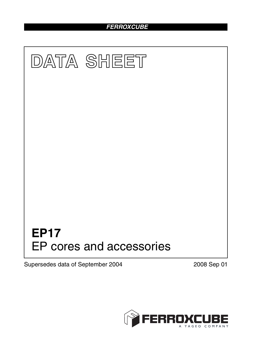# *FERROXCUBE*



Supersedes data of September 2004 2008 Sep 01

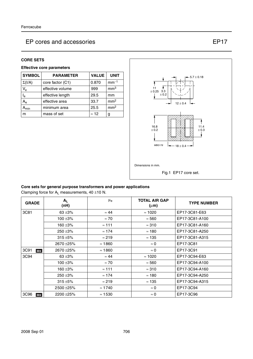#### **CORE SETS**

## **Effective core parameters**

| <b>SYMBOL</b>  | <b>PARAMETER</b> | <b>VALUE</b> | <b>UNIT</b>     |
|----------------|------------------|--------------|-----------------|
| $\Sigma(I/A)$  | core factor (C1) | 0.870        | $mm-1$          |
| $V_{e}$        | effective volume | 999          | mm <sup>3</sup> |
| l <sub>e</sub> | effective length | 29.5         | mm              |
| $A_{e}$        | effective area   | 33.7         | mm <sup>2</sup> |
| <b>\</b> min   | minimum area     | 25.5         | mm <sup>2</sup> |
| m              | mass of set      | $\approx$ 12 | g               |



# **Core sets for general purpose transformers and power applications**

Clamping force for  $A_L$  measurements, 40  $\pm$ 10 N.

| <b>GRADE</b> | $A_L$<br>(nH) | μ <sub>e</sub> | <b>TOTAL AIR GAP</b><br>$(\mu m)$ | <b>TYPE NUMBER</b> |
|--------------|---------------|----------------|-----------------------------------|--------------------|
| 3C81         | 63 $\pm 3\%$  | $\approx 44$   | $\approx$ 1020                    | EP17-3C81-E63      |
|              | $100 + 3%$    | $\approx 70$   | $\approx$ 560                     | EP17-3C81-A100     |
|              | 160 $\pm 3\%$ | $\approx$ 111  | $\approx 310$                     | EP17-3C81-A160     |
|              | $250 + 3%$    | $\approx$ 174  | $\approx$ 180                     | EP17-3C81-A250     |
|              | $315 + 5%$    | $\approx$ 219  | $\approx$ 135                     | EP17-3C81-A315     |
|              | 2670 ± 25%    | $\approx$ 1860 | $\approx 0$                       | EP17-3C81          |
| 3C91<br>des  | 2670 ± 25%    | $\approx$ 1860 | $\approx 0$                       | EP17-3C91          |
| 3C94         | 63 $\pm 3\%$  | $\approx 44$   | $\approx$ 1020                    | EP17-3C94-E63      |
|              | 100 $\pm$ 3%  | $\approx 70$   | $\approx 560$                     | EP17-3C94-A100     |
|              | 160 $\pm 3\%$ | $\approx$ 111  | $\approx$ 310                     | EP17-3C94-A160     |
|              | $250 + 3%$    | $\approx$ 174  | $\approx$ 180                     | EP17-3C94-A250     |
|              | $315 + 5%$    | $\approx$ 219  | $\approx$ 135                     | EP17-3C94-A315     |
|              | 2500 ± 25%    | $\approx$ 1740 | $\approx 0$                       | EP17-3C94          |
| 3C96<br>des  | 2200 ± 25%    | $\approx$ 1530 | $\approx 0$                       | EP17-3C96          |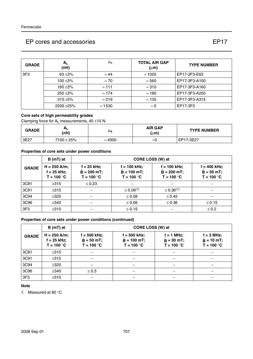| <b>GRADE</b> | A <sub>1</sub><br>(nH) | μ <sub>e</sub> | <b>TOTAL AIR GAP</b><br>$(\mu m)$ | <b>TYPE NUMBER</b> |
|--------------|------------------------|----------------|-----------------------------------|--------------------|
| 3F3          | 63 $\pm 3\%$           | $\approx 44$   | $\approx$ 1020                    | EP17-3F3-E63       |
|              | $100 + 3%$             | $\approx 70$   | $\approx 560$                     | EP17-3F3-A100      |
|              | 160 $\pm$ 3%           | $\approx$ 111  | $\approx 310$                     | EP17-3F3-A160      |
|              | $250 + 3%$             | $\approx$ 174  | $\approx$ 180                     | EP17-3F3-A250      |
|              | $315 + 5%$             | $\approx$ 219  | $\approx$ 135                     | EP17-3F3-A315      |
|              | 2200 ± 25%             | $\approx$ 1530 | $\approx 0$                       | EP17-3F3           |

# **Core sets of high permeability grades**

Clamping force for  $A_L$  measurements, 40  $\pm$ 10 N.

| <b>GRADE</b> | mі<br>(nH)      | μe             | <b>AIR GAP</b><br>(um) | <b>TYPE NUMBER</b> |
|--------------|-----------------|----------------|------------------------|--------------------|
| 3E27         | $7100 \pm 25\%$ | $\approx 4950$ | ≈0                     | EP17-3E27          |

# **Properties of core sets under power conditions**

|                 | $B(mT)$ at                                                         | CORE LOSS (W) at                               |                                               |                                                 |                                                |
|-----------------|--------------------------------------------------------------------|------------------------------------------------|-----------------------------------------------|-------------------------------------------------|------------------------------------------------|
| <b>GRADE</b>    | $H = 250$ A/m;<br>$f = 25$ kHz;<br>T = 100 $^{\circ}$ C $^{\circ}$ | $f = 25$ kHz;<br>$B = 200$ mT;<br>$T = 100 °C$ | f = 100 kHz;<br>$B = 100$ mT;<br>$T = 100 °C$ | $f = 100$ kHz;<br>$B = 200$ mT;<br>$T = 100 °C$ | $f = 400$ kHz;<br>$B = 50$ mT;<br>$T = 100 °C$ |
| 3C81            | $\geq 315$                                                         | $\leq 0.23$                                    |                                               |                                                 |                                                |
| 3C91            | $\geq 315$                                                         |                                                | $\leq 0.06^{(1)}$                             | $\leq$ 0.36 <sup>(1)</sup>                      |                                                |
| 3C94            | $\geq$ 320                                                         |                                                | $\leq 0.08$                                   | $\leq 0.45$                                     |                                                |
| 3C96            | $\geq$ 340                                                         |                                                | $\leq 0.06$                                   | $\leq 0.36$                                     | $\leq 0.15$                                    |
| 3F <sub>3</sub> | $\geq 315$                                                         |                                                | $\leq 0.15$                                   |                                                 | $\leq 0.2$                                     |

## **Properties of core sets under power conditions (continued)**

|              | $B(mT)$ at                                      | CORE LOSS (W) at                               |                                                 |                                              |                                                     |  |
|--------------|-------------------------------------------------|------------------------------------------------|-------------------------------------------------|----------------------------------------------|-----------------------------------------------------|--|
| <b>GRADE</b> | $H = 250$ A/m;<br>$f = 25$ kHz;<br>$T = 100 °C$ | $f = 500$ kHz;<br>$B = 50$ mT;<br>$T = 100 °C$ | $f = 500$ kHz;<br>$B = 100$ mT;<br>$T = 100 °C$ | $f = 1$ MHz;<br>$B = 30$ mT;<br>$T = 100 °C$ | $f = 3 MHz$ ;<br>$\hat{B} = 10$ mT;<br>$T = 100 °C$ |  |
| 3C81         | $\geq 315$                                      |                                                |                                                 |                                              |                                                     |  |
| 3C91         | $\geq$ 315                                      |                                                |                                                 |                                              |                                                     |  |
| 3C94         | $\geq$ 320                                      |                                                |                                                 |                                              |                                                     |  |
| 3C96         | $\geq$ 340                                      | $\leq 0.3$                                     |                                                 |                                              |                                                     |  |
| 3F3          | $\geq 315$                                      |                                                |                                                 |                                              |                                                     |  |

#### **Note**

1. Measured at 60 °C.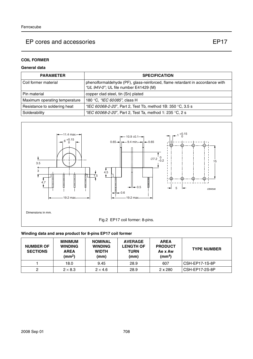# **COIL FORMER**

# **General data**

| <b>PARAMETER</b>              | <b>SPECIFICATION</b>                                                                                                   |
|-------------------------------|------------------------------------------------------------------------------------------------------------------------|
| Coil former material          | phenolformaldehyde (PF), glass-reinforced, flame retardant in accordance with<br>"UL 94V-0"; UL file number E41429 (M) |
| Pin material                  | copper clad steel, tin (Sn) plated                                                                                     |
| Maximum operating temperature | 180 °C, "IEC 60085", class H                                                                                           |
| Resistance to soldering heat  | "IEC 60068-2-20", Part 2, Test Tb, method 1B: 350 °C, 3.5 s                                                            |
| Solderability                 | "IEC 60068-2-20", Part 2, Test Ta, method 1: 235 °C, 2 s                                                               |



# **Winding data and area product for 8-pins EP17 coil former**

| <b>NUMBER OF</b><br><b>SECTIONS</b> | <b>MINIMUM</b><br><b>WINDING</b><br><b>AREA</b><br>(mm <sup>2</sup> ) | <b>NOMINAL</b><br><b>WINDING</b><br><b>WIDTH</b><br>(mm) | <b>AVERAGE</b><br><b>LENGTH OF</b><br>TURN<br>(mm) | <b>AREA</b><br><b>PRODUCT</b><br>Ae x Aw<br>(mm <sup>4</sup> ) | <b>TYPE NUMBER</b> |
|-------------------------------------|-----------------------------------------------------------------------|----------------------------------------------------------|----------------------------------------------------|----------------------------------------------------------------|--------------------|
|                                     | 18.0                                                                  | 9.45                                                     | 28.9                                               | 607                                                            | CSH-EP17-1S-8P     |
|                                     | $2 \times 8.3$                                                        | $2 \times 4.6$                                           | 28.9                                               | $2 \times 280$                                                 | CSH-EP17-2S-8P     |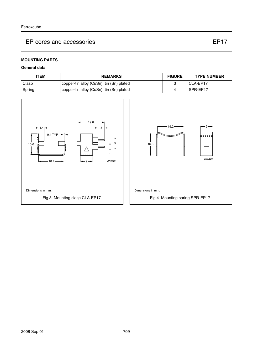# **MOUNTING PARTS**

## **General data**

| ITEM   | <b>REMARKS</b>                           | <b>FIGURE</b> | <b>TYPE NUMBER</b> |
|--------|------------------------------------------|---------------|--------------------|
| Clasp  | copper-tin alloy (CuSn), tin (Sn) plated |               | I CLA-EP17         |
| Spring | copper-tin alloy (CuSn), tin (Sn) plated |               | SPR-EP17           |